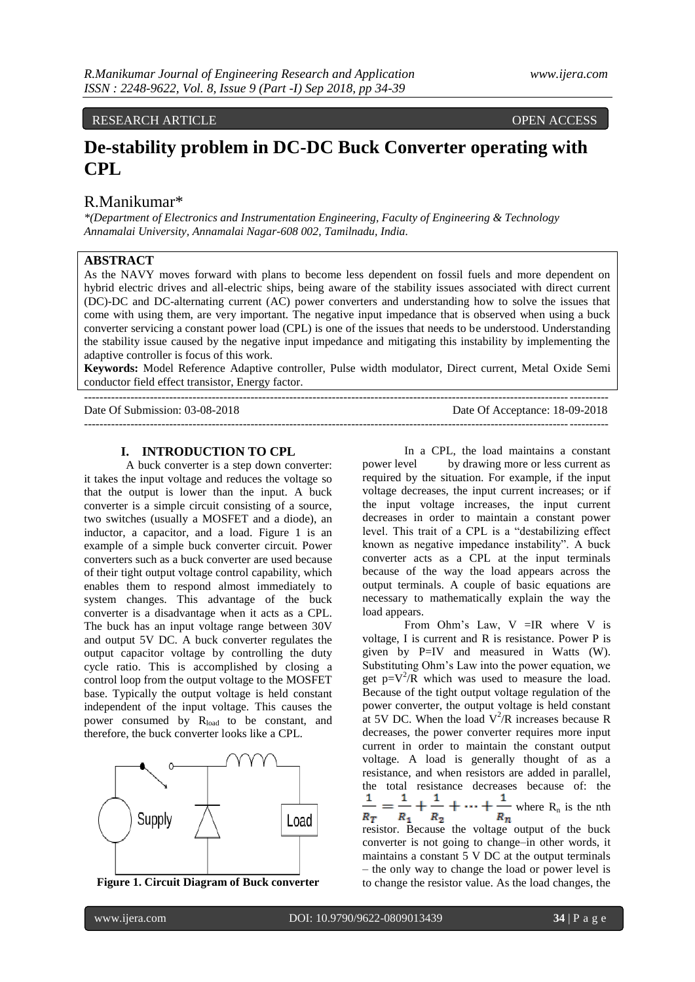# RESEARCH ARTICLE OPEN ACCESS

# **De-stability problem in DC-DC Buck Converter operating with CPL**

# R.Manikumar\*

*\*(Department of Electronics and Instrumentation Engineering, Faculty of Engineering & Technology Annamalai University, Annamalai Nagar-608 002, Tamilnadu, India.*

# **ABSTRACT**

As the NAVY moves forward with plans to become less dependent on fossil fuels and more dependent on hybrid electric drives and all-electric ships, being aware of the stability issues associated with direct current (DC)-DC and DC-alternating current (AC) power converters and understanding how to solve the issues that come with using them, are very important. The negative input impedance that is observed when using a buck converter servicing a constant power load (CPL) is one of the issues that needs to be understood. Understanding the stability issue caused by the negative input impedance and mitigating this instability by implementing the adaptive controller is focus of this work.

**Keywords:** Model Reference Adaptive controller, Pulse width modulator, Direct current, Metal Oxide Semi conductor field effect transistor, Energy factor. ---------------------------------------------------------------------------------------------------------------------------------------

---------------------------------------------------------------------------------------------------------------------------------------

Date Of Submission: 03-08-2018 Date Of Acceptance: 18-09-2018

#### **I. INTRODUCTION TO CPL**

A buck converter is a step down converter: it takes the input voltage and reduces the voltage so that the output is lower than the input. A buck converter is a simple circuit consisting of a source, two switches (usually a MOSFET and a diode), an inductor, a capacitor, and a load. Figure 1 is an example of a simple buck converter circuit. Power converters such as a buck converter are used because of their tight output voltage control capability, which enables them to respond almost immediately to system changes. This advantage of the buck converter is a disadvantage when it acts as a CPL. The buck has an input voltage range between 30V and output 5V DC. A buck converter regulates the output capacitor voltage by controlling the duty cycle ratio. This is accomplished by closing a control loop from the output voltage to the MOSFET base. Typically the output voltage is held constant independent of the input voltage. This causes the power consumed by R<sub>load</sub> to be constant, and therefore, the buck converter looks like a CPL.



**Figure 1. Circuit Diagram of Buck converter**

In a CPL, the load maintains a constant power level by drawing more or less current as required by the situation. For example, if the input voltage decreases, the input current increases; or if the input voltage increases, the input current decreases in order to maintain a constant power level. This trait of a CPL is a "destabilizing effect known as negative impedance instability". A buck converter acts as a CPL at the input terminals because of the way the load appears across the output terminals. A couple of basic equations are necessary to mathematically explain the way the load appears.

From Ohm's Law,  $V = IR$  where V is voltage, I is current and R is resistance. Power P is given by P=IV and measured in Watts (W). Substituting Ohm"s Law into the power equation, we get  $p=V^2/R$  which was used to measure the load. Because of the tight output voltage regulation of the power converter, the output voltage is held constant at 5V DC. When the load  $V^2/R$  increases because R decreases, the power converter requires more input current in order to maintain the constant output voltage. A load is generally thought of as a resistance, and when resistors are added in parallel, the total resistance decreases because of: the  $\frac{1}{R_T} = \frac{1}{R_1} + \frac{1}{R_2} + \dots + \frac{1}{R_n}$  where  $R_n$  is the nth  $R_T$ resistor. Because the voltage output of the buck converter is not going to change–in other words, it maintains a constant 5 V DC at the output terminals – the only way to change the load or power level is to change the resistor value. As the load changes, the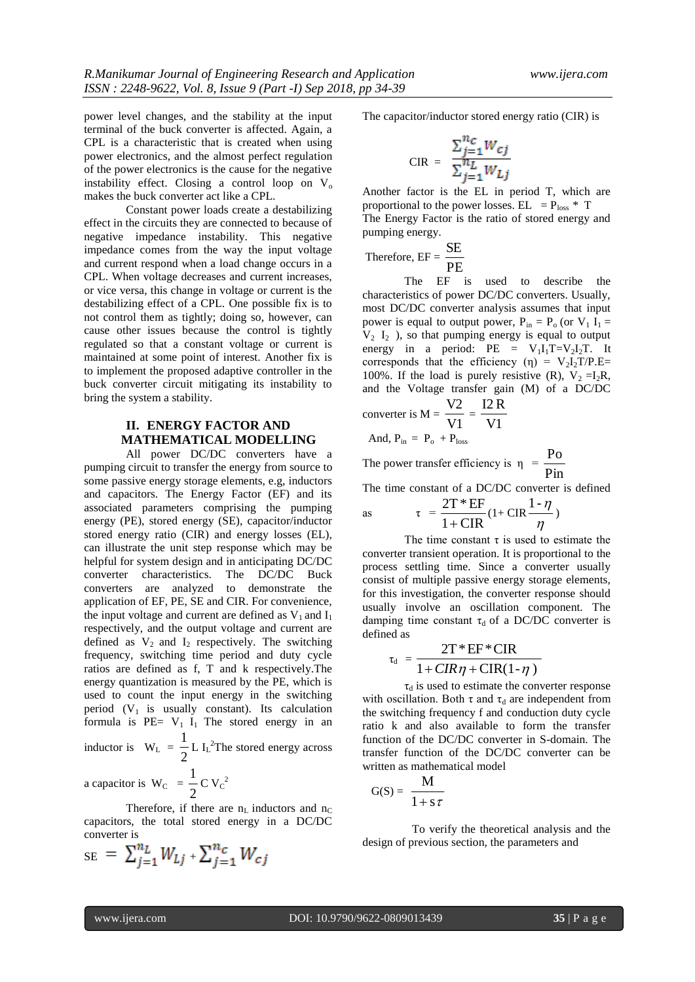power level changes, and the stability at the input terminal of the buck converter is affected. Again, a CPL is a characteristic that is created when using power electronics, and the almost perfect regulation of the power electronics is the cause for the negative instability effect. Closing a control loop on  $V_0$ makes the buck converter act like a CPL.

Constant power loads create a destabilizing effect in the circuits they are connected to because of negative impedance instability. This negative impedance comes from the way the input voltage and current respond when a load change occurs in a CPL. When voltage decreases and current increases, or vice versa, this change in voltage or current is the destabilizing effect of a CPL. One possible fix is to not control them as tightly; doing so, however, can cause other issues because the control is tightly regulated so that a constant voltage or current is maintained at some point of interest. Another fix is to implement the proposed adaptive controller in the buck converter circuit mitigating its instability to bring the system a stability.

# **II. ENERGY FACTOR AND MATHEMATICAL MODELLING**

All power DC/DC converters have a pumping circuit to transfer the energy from source to some passive energy storage elements, e.g, inductors and capacitors. The Energy Factor (EF) and its associated parameters comprising the pumping energy (PE), stored energy (SE), capacitor/inductor stored energy ratio (CIR) and energy losses (EL), can illustrate the unit step response which may be helpful for system design and in anticipating DC/DC converter characteristics. The DC/DC Buck converters are analyzed to demonstrate the application of EF, PE, SE and CIR. For convenience, the input voltage and current are defined as  $V_1$  and  $I_1$ respectively, and the output voltage and current are defined as  $V_2$  and  $I_2$  respectively. The switching frequency, switching time period and duty cycle ratios are defined as f, T and k respectively.The energy quantization is measured by the PE, which is used to count the input energy in the switching period  $(V_1$  is usually constant). Its calculation formula is  $PE= V_1 I_1$  The stored energy in an 1

inductor is  $W_L$  = 2 L  $I_L^2$ The stored energy across 1

a capacitor is  $W_C$  = 2  $C V_C^2$ 

Therefore, if there are  $n_L$  inductors and  $n_C$ capacitors, the total stored energy in a DC/DC converter is

$$
_{\text{SE}} = \sum_{j=1}^{n_L} W_{Lj} + \sum_{j=1}^{n_c} W_{cj}
$$

The capacitor/inductor stored energy ratio (CIR) is

$$
\text{CIR} = \frac{\sum_{j=1}^{n_c} W_{cj}}{\sum_{i=1}^{n_L} W_{Lj}}
$$

Another factor is the EL in period T, which are proportional to the power losses. EL =  $P_{loss}$  \* T The Energy Factor is the ratio of stored energy and pumping energy.

Therefore, 
$$
EF = \frac{SE}{PE}
$$

The EF is used to describe the characteristics of power DC/DC converters. Usually, most DC/DC converter analysis assumes that input power is equal to output power,  $P_{in} = P_o$  (or  $V_1 I_1 =$  $V_2$  I<sub>2</sub>), so that pumping energy is equal to output energy in a period: PE =  $V_1I_1T=V_2I_2T$ . It corresponds that the efficiency (η) =  $V_2I_2T/P.E=$ 100%. If the load is purely resistive (R),  $V_2 = I_2R$ , and the Voltage transfer gain (M) of a DC/DC

$$
converter is M = \frac{V2}{V1} = \frac{I2 R}{V1}
$$

And, 
$$
P_{in} = P_o + P_{loss}
$$

The power transfer efficiency is  $\eta = \frac{1}{\text{Pin}}$ Po

The time constant of a DC/DC converter is defined

as 
$$
\tau = \frac{2T * EF}{1 + CIR} (1 + CIR \frac{1 - \eta}{\eta})
$$

The time constant  $\tau$  is used to estimate the converter transient operation. It is proportional to the process settling time. Since a converter usually consist of multiple passive energy storage elements, for this investigation, the converter response should usually involve an oscillation component. The damping time constant  $\tau_d$  of a DC/DC converter is defined as

$$
\tau_{d} = \frac{2T*EF*CIR}{1+CIR\eta + CIR(1-\eta)}
$$

 $\tau_d$  is used to estimate the converter response with oscillation. Both  $\tau$  and  $\tau_d$  are independent from the switching frequency f and conduction duty cycle ratio k and also available to form the transfer function of the DC/DC converter in S-domain. The transfer function of the DC/DC converter can be written as mathematical model

$$
G(S) = \frac{M}{1 + s \tau}
$$

 To verify the theoretical analysis and the design of previous section, the parameters and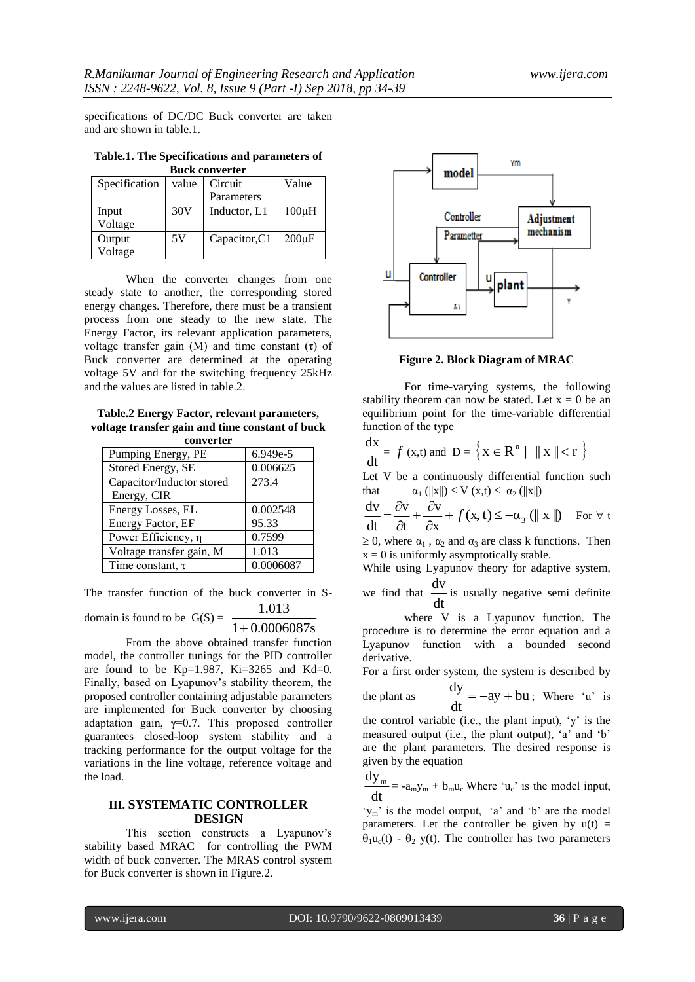specifications of DC/DC Buck converter are taken and are shown in table.1.

| Table.1. The Specifications and parameters of |  |
|-----------------------------------------------|--|
| <b>Buck converter</b>                         |  |

| Specification | value | Circuit       | Value       |  |
|---------------|-------|---------------|-------------|--|
|               |       | Parameters    |             |  |
| Input         | 30V   | Inductor, L1  | $100\mu H$  |  |
| Voltage       |       |               |             |  |
| Output        | 5V    | Capacitor, C1 | $200 \mu F$ |  |
| Voltage       |       |               |             |  |

When the converter changes from one steady state to another, the corresponding stored energy changes. Therefore, there must be a transient process from one steady to the new state. The Energy Factor, its relevant application parameters, voltage transfer gain (M) and time constant (τ) of Buck converter are determined at the operating voltage 5V and for the switching frequency 25kHz and the values are listed in table.2.

**Table.2 Energy Factor, relevant parameters, voltage transfer gain and time constant of buck** 

| converter                 |           |  |
|---------------------------|-----------|--|
| Pumping Energy, PE        | 6.949e-5  |  |
| Stored Energy, SE         | 0.006625  |  |
| Capacitor/Inductor stored | 273.4     |  |
| Energy, CIR               |           |  |
| Energy Losses, EL         | 0.002548  |  |
| Energy Factor, EF         | 95.33     |  |
| Power Efficiency, η       | 0.7599    |  |
| Voltage transfer gain, M  | 1.013     |  |
| Time constant, $\tau$     | 0.0006087 |  |

The transfer function of the buck converter in S-1.013

domain is found to be  $G(S) = 1 + 0.0006087s$ 

From the above obtained transfer function model, the controller tunings for the PID controller are found to be Kp=1.987, Ki=3265 and Kd=0. Finally, based on Lyapunov's stability theorem, the proposed controller containing adjustable parameters are implemented for Buck converter by choosing adaptation gain,  $\gamma=0.7$ . This proposed controller guarantees closed-loop system stability and a tracking performance for the output voltage for the variations in the line voltage, reference voltage and the load.

#### **III. SYSTEMATIC CONTROLLER DESIGN**

This section constructs a Lyapunov's stability based MRAC for controlling the PWM width of buck converter. The MRAS control system for Buck converter is shown in Figure.2.



**Figure 2. Block Diagram of MRAC**

For time-varying systems, the following stability theorem can now be stated. Let  $x = 0$  be an equilibrium point for the time-variable differential function of the type

$$
\frac{dx}{dt} = f(x,t) \text{ and } D = \left\{ x \in \mathbb{R}^n \mid ||x|| < r \right\}
$$

Let V be a continuously differential function such that  $\alpha_1$  ( $||x||$ )  $\leq V$  ( $x,t$ )  $\leq \alpha_2$  ( $||x||$ )

 $(x, t) \leq -\alpha_3$  (|| x ||) x  $\vee$ t v dt  $\frac{dv}{dt} = \frac{\partial v}{\partial t} + \frac{\partial v}{\partial x} + f(x, t) \le -\alpha_3$  $+\frac{\hat{c}}{2}$  $\partial$  $=\frac{\partial v}{\partial x} + \frac{\partial v}{\partial y} + f(x, t) \leq -\alpha_3$  (|| x ||) For  $\forall$  t

 $\geq 0$ , where  $\alpha_1$ ,  $\alpha_2$  and  $\alpha_3$  are class k functions. Then  $x = 0$  is uniformly asymptotically stable.

While using Lyapunov theory for adaptive system,

we find that  $\frac{d}{dt}$  $\frac{dv}{dt}$  is usually negative semi definite

where V is a Lyapunov function. The procedure is to determine the error equation and a Lyapunov function with a bounded second derivative.

For a first order system, the system is described by

the plant as 
$$
\frac{dy}{dt} = -ay + bu
$$
; Where 'u' is

the control variable (i.e., the plant input), "y" is the measured output (i.e., the plant output), 'a' and 'b' are the plant parameters. The desired response is given by the equation

dt  $\frac{dy_m}{dt} = -a_m y_m + b_m u_c$  Where 'u<sub>c</sub>' is the model input,

 $y_m$  is the model output, 'a' and 'b' are the model parameters. Let the controller be given by  $u(t) =$  $\theta_1$ u<sub>c</sub>(t) -  $\theta_2$  y(t). The controller has two parameters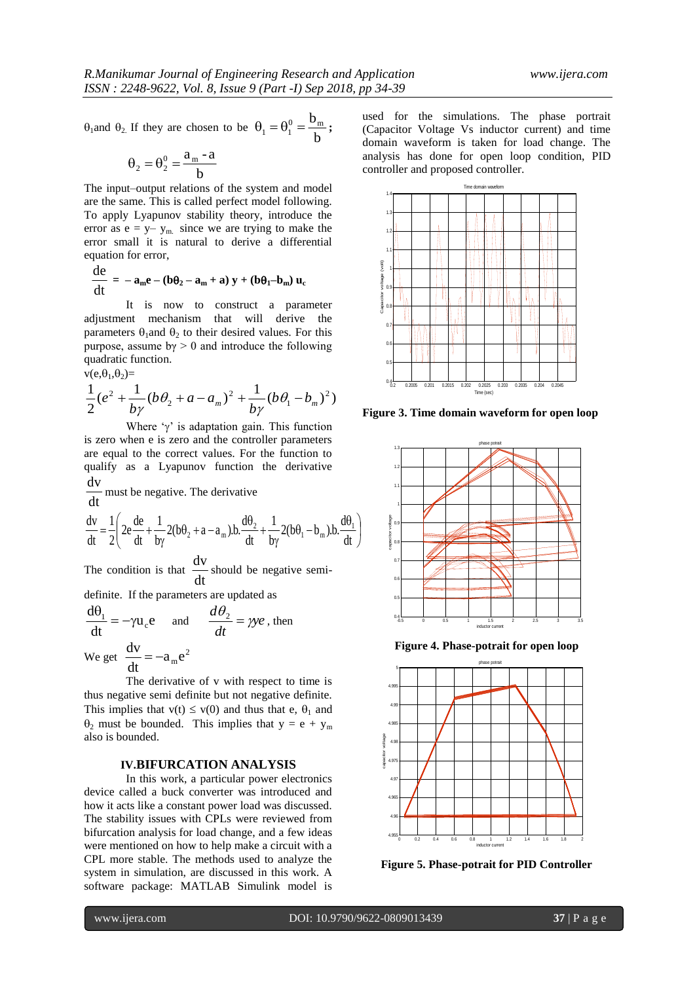$\theta_1$  and  $\theta_2$ . If they are chosen to be  $\theta_1 = \theta_1^0 = \frac{b_m}{b}$ ;

$$
\theta_2 = \theta_2^0 = \frac{a_m - a}{b}
$$

The input–output relations of the system and model are the same. This is called perfect model following. To apply Lyapunov stability theory, introduce the error as  $e = y - y_m$  since we are trying to make the error small it is natural to derive a differential equation for error,

$$
\frac{de}{dt} = -a_m e - (b\theta_2 - a_m + a) y + (b\theta_1 - b_m) u_c
$$

It is now to construct a parameter adjustment mechanism that will derive the parameters  $\theta_1$  and  $\theta_2$  to their desired values. For this purpose, assume  $b\gamma > 0$  and introduce the following quadratic function.  $v(e, \theta_1, \theta_2)$ =

$$
\frac{1}{2}(e^{2} + \frac{1}{b\gamma}(b\theta_{2} + a - a_{m})^{2} + \frac{1}{b\gamma}(b\theta_{1} - b_{m})^{2})
$$

Where  $\gamma$  is adaptation gain. This function is zero when e is zero and the controller parameters are equal to the correct values. For the function to qualify as a Lyapunov function the derivative

dt  $\frac{dv}{dt}$  must be negative. The derivative

$$
\frac{dv}{dt} = \frac{1}{2} \left( 2e \frac{de}{dt} + \frac{1}{by} 2(b\theta_2 + a - a_m) \cdot b \cdot \frac{d\theta_2}{dt} + \frac{1}{by} 2(b\theta_1 - b_m) \cdot b \cdot \frac{d\theta_1}{dt} \right)
$$

The condition is that  $\frac{d\mathbf{r}}{dt}$  $\frac{dv}{dt}$  should be negative semi-

definite. If the parameters are updated as

$$
\frac{d\theta_1}{dt} = -\gamma u_c e \quad \text{and} \quad \frac{d\theta_2}{dt} = \gamma ye \text{, then}
$$

We get  $\frac{dv}{dx} = -a_m e^2$  $a_m$ e dt  $\frac{dv}{dt} = -$ 

The derivative of v with respect to time is thus negative semi definite but not negative definite. This implies that  $v(t) \le v(0)$  and thus that e,  $\theta_1$  and  $\theta_2$  must be bounded. This implies that  $y = e + y_m$ also is bounded.

#### **IV.BIFURCATION ANALYSIS**

In this work, a particular power electronics device called a buck converter was introduced and how it acts like a constant power load was discussed. The stability issues with CPLs were reviewed from bifurcation analysis for load change, and a few ideas were mentioned on how to help make a circuit with a CPL more stable. The methods used to analyze the system in simulation, are discussed in this work. A software package: MATLAB Simulink model is used for the simulations. The phase portrait (Capacitor Voltage Vs inductor current) and time domain waveform is taken for load change. The analysis has done for open loop condition, PID controller and proposed controller.



**Figure 3. Time domain waveform for open loop**



**Figure 4. Phase-potrait for open loop**



**Figure 5. Phase-potrait for PID Controller**

 $\overline{\phantom{a}}$ J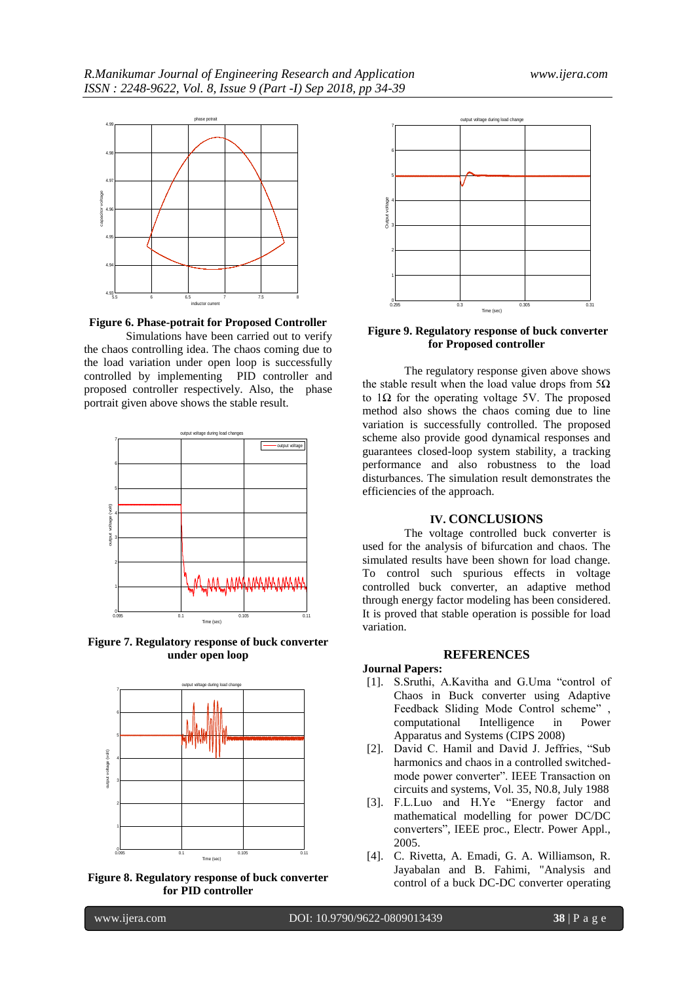

**Figure 6. Phase-potrait for Proposed Controller**

Simulations have been carried out to verify the chaos controlling idea. The chaos coming due to the load variation under open loop is successfully controlled by implementing PID controller and proposed controller respectively. Also, the phase portrait given above shows the stable result.



**Figure 7. Regulatory response of buck converter under open loop**







#### **Figure 9. Regulatory response of buck converter for Proposed controller**

The regulatory response given above shows the stable result when the load value drops from  $5\Omega$ to 1Ω for the operating voltage 5V. The proposed method also shows the chaos coming due to line variation is successfully controlled. The proposed scheme also provide good dynamical responses and guarantees closed-loop system stability, a tracking performance and also robustness to the load disturbances. The simulation result demonstrates the efficiencies of the approach.

#### **IV. CONCLUSIONS**

The voltage controlled buck converter is used for the analysis of bifurcation and chaos. The simulated results have been shown for load change. To control such spurious effects in voltage controlled buck converter, an adaptive method through energy factor modeling has been considered. It is proved that stable operation is possible for load variation.

#### **REFERENCES**

#### **Journal Papers:**

- [1]. S.Sruthi, A.Kavitha and G.Uma "control of Chaos in Buck converter using Adaptive Feedback Sliding Mode Control scheme",<br>computational Intelligence in Power computational Intelligence in Apparatus and Systems (CIPS 2008)
- [2]. David C. Hamil and David J. Jeffries, "Sub harmonics and chaos in a controlled switchedmode power converter". IEEE Transaction on circuits and systems, Vol. 35, N0.8, July 1988
- [3]. F.L.Luo and H.Ye "Energy factor and mathematical modelling for power DC/DC converters", IEEE proc., Electr. Power Appl., 2005.
- [4]. C. Rivetta, A. Emadi, G. A. Williamson, R. Jayabalan and B. Fahimi, "Analysis and control of a buck DC-DC converter operating